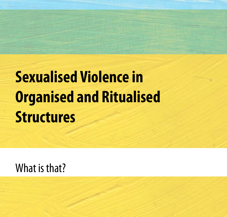# **Sexualised Violence in Organised and Ritualised Structures**

# What is that?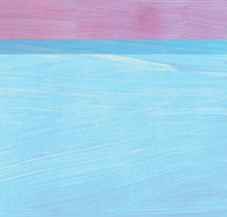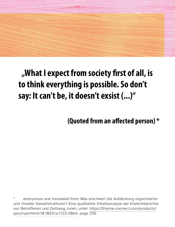# **"What I expect from society first of all, is to think everything is possible. So don't say: It can't be, it doesn't exsist (...)"**

**(Quoted from an affected person) \***

anonymous and translated from: Was erschwert die Aufdeckung organisierter und ritueller Gewaltstrukturen? Eine qualitative Inhaltsanalyse der Erlebnisberichte von Betroffenen und Zeitzeug\_innen, unter: [https://thieme-connect.com/products/](https://thieme-connect.com/products/ejournals/html/10.1055/a-1123-3064) [ejournals/html/10.1055/a-1123-3064](https://thieme-connect.com/products/ejournals/html/10.1055/a-1123-3064). page 256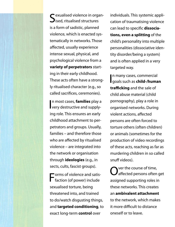• exualised violence in organ- $\mathbf{\mathcal{J}}$ ised, ritualised structures is a form of sadistic, planned violence, which is enacted systematically in networks. Those affected, usually experience intense sexual, physical, and psychological violence from a **variety of perpetrators** starting in their early childhood. These acts often have a strongly ritualised character (e.g., so called sacrifices, ceremonies).

In most cases, **families** play a<br>very destructive and supplyn most cases, **families** play a ing role. This ensures an early childhood attachment to perpetrators and groups. Usually, families – and therefore those who are affected by ritualised violence – are integrated into the network or organisation through **ideologies** (e.g., in sects, cults, fascist groups).

Forms of violence and satis-<br>faction (of power) include sexualised torture, being threatened into, and trained to do/watch disgusting things, and **targeted conditioning**, to exact long-term **control** over

individuals. This systemic application of traumatising violence can lead to specific **dissociations, even a splitting** of the child's personality into multiple personalities (dissociative identity disorder/being a system) and is often applied in a very targeted way.

I goals such as **child-/human**  n many cases, commercial **trafficking** and the sale of child abuse material (child pornography), play a role in organised networks. During violent actions, affected persons are often forced to torture others (often children) or animals (sometimes for the production of video recordings of these acts, reaching as far as murdering children in so called snuff videos).

Over the course of time,<br>Oaffected persons often get assigned supporting roles in these networks. This creates an **ambivalent attachment** to the network, which makes it more difficult to distance oneself or to leave.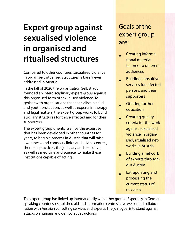# **Expert group against sexualised violence in organised and ritualised structures**

Compared to other countries, sexualised violence in organised, ritualised structures is barely ever addressed in Austria.

In the fall of 2020 the organisation Selbstlaut founded an interdisciplinary expert group against this organised form of sexualised violence. Together with organisations that specialise in child and youth protection, as well as experts in therapy and legal matters, the expert group works to build auxiliary structures for those affected and for their supporters.

The expert group orients itself by the expertise that has been developed in other countries for years, to begin a process in Austria that will raise awareness, and connect clinics and advice centres, therapist practices, the judiciary and executive, as well as medicine and science, to make these institutions capable of acting.

## Goals of the expert group are:

- **•** Creating informational material tailored to different audiences
- **•** Building consultive services for affected persons and their supporters
- **•** Offering further education
- **•** Creating quality criteria for the work against sexualised violence in organised, ritualised networks in Austria
- **•** Building a network of experts throughout Austria
- **•** Extrapolating and processing the current status of research

The expert group has linked up internationally with other groups. Especially in German speaking countries, established aid and information centres have welcomed collaboration with Austrian consulting services and experts. The joint goal is to stand against attacks on humans and democratic structures.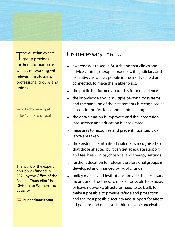**The Austrian expert** group provides further information as well as networking with relevant institutions, professional groups and unions.

#### [www.fachkreis-rg.at](http://www.fachkreis-rg.at) [info@fachkreis-rg.at](mailto:info%40Fachkreis-rg.at%20?subject=)

The work of the expert group was funded in 2021 by the Office of the Federal Chancellor/the Division for Women and Equality

Bundeskanzleramt

#### It is necessary that…

- **…** awareness is raised in Austria and that clinics and advice centres, therapist practices, the judiciary and executive, as well as people in the medical field are connected, to make them able to act.
- **…** the public is informed about this form of violence.
- **…** the knowledge about multiple personality systems and the handling of their statements is recognised as a basis for professional and helpful acting.
- **…** the data situation is improved and the integration into science and education is accelerated.
- **…** measures to recognise and prevent ritualised violence are taken.
- **…** the existence of ritualised violence is recognised so that those affected by it can get adequate support and feel heard in psychosocial and therapy settings.
- **…** further education for relevant professional groups is developed and financed by public funds
- **…** policy makers and institutions provide the necessary means and structures, to make it possible to expose, or leave networks. Structures need to be built, to make it possible to provide refuge and protection and the best possible security and support for affected persons and make such things even conceivable.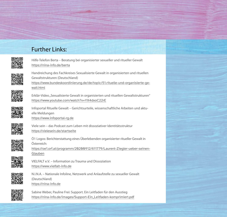### Further Links:



Hilfe-Telefon Berta – Beratung bei organisierter sexueller und ritueller Gewalt https://nina-info.de/berta



Handreichung des Fachkreises Sexualisierte Gewalt in organisierten und rituellen Gewaltstrukturen (Deutschland) https://www.bundeskoordinierung.de/de/topic/51.rituelle-und-organisierte-gewalt.html



Erklär-Video "Sexualisierte Gewalt in organisierten und rituellen Gewaltstrukturen" https://www.youtube.com/watch?v=YX4dxoC22rE



Infoportal Rituelle Gewalt – Gerichtsurteile, wissenschaftliche Arbeiten und aktuelle Meldungen https://www.infoportal-rg.de



Viele sein – das Podcast zum Leben mit dissoziativer Identitätsstruktur https://vielesein.de/startseite



Ö1 Logos: Berichterstattung eines Überlebenden organisierter ritueller Gewalt in Österreich:

https://oe1.orf.at/programm/20200912/611779/Laurent-Ziegler-ueber-seinen-Glauben



VIELFALT e.V. – Information zu Trauma und Dissoziation https://www.vielfalt-info.de



N.I.N.A. – Nationale Infoline, Netzwerk und Anlaufstelle zu sexueller Gewalt (Deutschland) https://nina-info.de



Sabine Weber, Pauline Frei: Support. Ein Leitfaden für den Ausstieg https://nina-info.de/images/Support-Ein\_Leitfaden-komprimiert.pdf